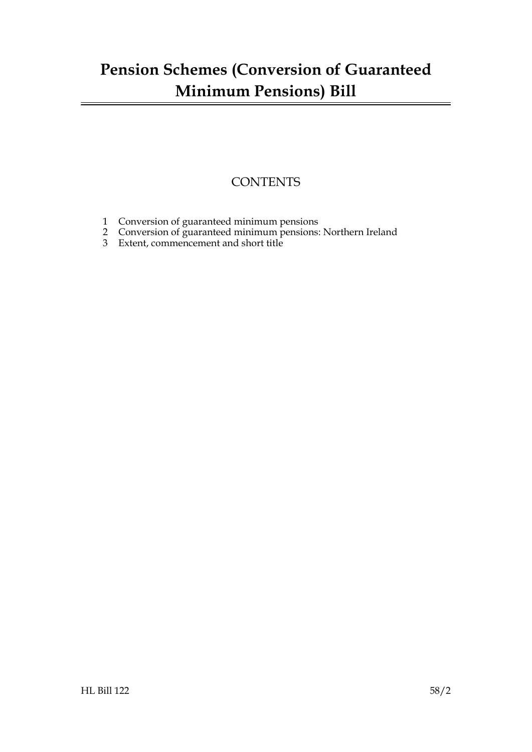## **Pension Schemes (Conversion of Guaranteed Minimum Pensions) Bill**

### **CONTENTS**

- [1 Conversion of guaranteed minimum pensions](#page-2-0)
- [2 Conversion of guaranteed minimum pensions: Northern Ireland](#page-4-0)
- 3 [Extent, commencement and short title](#page-6-0)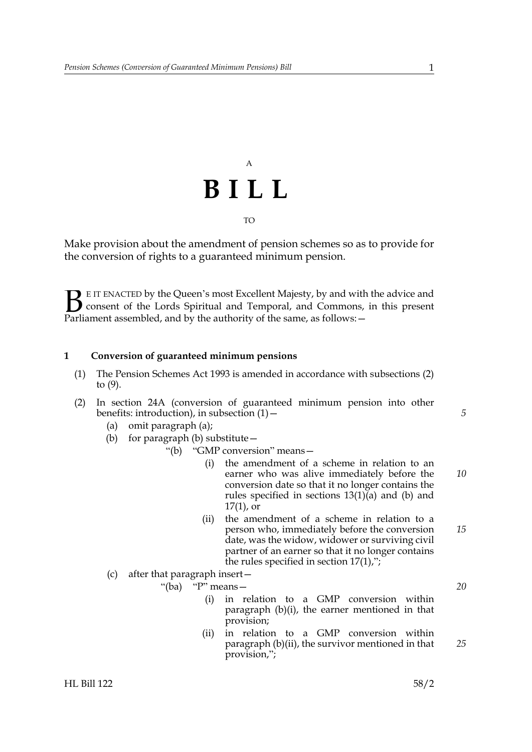# A **BILL** TO

Make provision about the amendment of pension schemes so as to provide for the conversion of rights to a guaranteed minimum pension.

E IT ENACTED by the Queen's most Excellent Majesty, by and with the advice and<br>consent of the Lords Spiritual and Temporal, and Commons, in this present<br>Parliament assembled, and by the authority of the same, as follows: consent of the Lords Spiritual and Temporal, and Commons, in this present Parliament assembled, and by the authority of the same, as follows: -

#### <span id="page-2-5"></span><span id="page-2-0"></span>**1 Conversion of guaranteed minimum pensions**

- (1) The Pension Schemes Act 1993 is amended in accordance with subsections [\(2\)](#page-2-1) to [\(9\)](#page-4-1).
- <span id="page-2-4"></span><span id="page-2-3"></span><span id="page-2-2"></span><span id="page-2-1"></span>(2) In section 24A (conversion of guaranteed minimum pension into other benefits: introduction), in subsection  $(1)$  –
	- (a) omit paragraph (a);
	- (b) for paragraph (b) substitute—
		- "(b) "GMP conversion" means—
			- (i) the amendment of a scheme in relation to an earner who was alive immediately before the conversion date so that it no longer contains the rules specified in sections 13(1)(a) and (b) and  $17(1)$ , or *10*
			- (ii) the amendment of a scheme in relation to a person who, immediately before the conversion date, was the widow, widower or surviving civil partner of an earner so that it no longer contains the rules specified in section  $17(1)$ ,"; *15*
	- (c) after that paragraph insert—

"(ba) "P" means—

- (i) in relation to a GMP conversion within paragraph [\(b\)](#page-2-2)[\(i\),](#page-2-3) the earner mentioned in that provision;
- (ii) in relation to a GMP conversion within paragraph [\(b\)](#page-2-2)[\(ii\)](#page-2-4), the survivor mentioned in that provision,"; *25*

*5*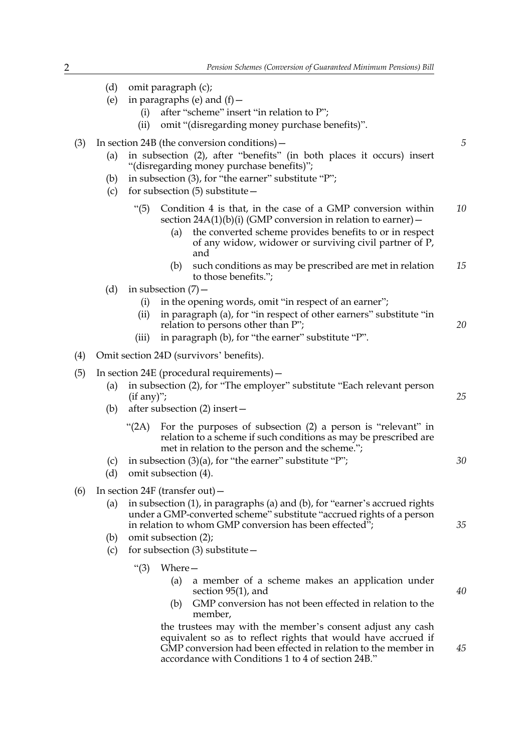|     | (d)<br>(e)                                                                                                                                                                           | (i)<br>(ii)                                                                                                                                                                                                                                                        | omit paragraph (c);<br>in paragraphs (e) and $(f)$ –<br>after "scheme" insert "in relation to P";<br>omit "(disregarding money purchase benefits)".                                                                                                                      |    |
|-----|--------------------------------------------------------------------------------------------------------------------------------------------------------------------------------------|--------------------------------------------------------------------------------------------------------------------------------------------------------------------------------------------------------------------------------------------------------------------|--------------------------------------------------------------------------------------------------------------------------------------------------------------------------------------------------------------------------------------------------------------------------|----|
| (3) | (a)<br>(b)<br>(c)                                                                                                                                                                    | In section $24B$ (the conversion conditions) $-$<br>in subsection (2), after "benefits" (in both places it occurs) insert<br>"(disregarding money purchase benefits)";<br>in subsection (3), for "the earner" substitute "P";<br>for subsection $(5)$ substitute - |                                                                                                                                                                                                                                                                          | 5  |
|     |                                                                                                                                                                                      | $\degree$ (5)                                                                                                                                                                                                                                                      | Condition 4 is that, in the case of a GMP conversion within<br>section $24A(1)(b)(i)$ (GMP conversion in relation to earner) –<br>the converted scheme provides benefits to or in respect<br>(a)<br>of any widow, widower or surviving civil partner of P,<br>and        | 10 |
|     |                                                                                                                                                                                      |                                                                                                                                                                                                                                                                    | such conditions as may be prescribed are met in relation<br>(b)<br>to those benefits.";                                                                                                                                                                                  | 15 |
|     | (d)                                                                                                                                                                                  | (i)<br>(i)<br>(iii)                                                                                                                                                                                                                                                | in subsection $(7)$ –<br>in the opening words, omit "in respect of an earner";<br>in paragraph (a), for "in respect of other earners" substitute "in<br>relation to persons other than P";<br>in paragraph (b), for "the earner" substitute "P".                         | 20 |
| (4) |                                                                                                                                                                                      | Omit section 24D (survivors' benefits).                                                                                                                                                                                                                            |                                                                                                                                                                                                                                                                          |    |
| (5) | In section 24E (procedural requirements) -<br>in subsection (2), for "The employer" substitute "Each relevant person<br>(a)<br>$(if any)$ ";<br>after subsection (2) insert -<br>(b) |                                                                                                                                                                                                                                                                    |                                                                                                                                                                                                                                                                          | 25 |
|     | (c)<br>(d)                                                                                                                                                                           | " $(2A)$                                                                                                                                                                                                                                                           | For the purposes of subsection (2) a person is "relevant" in<br>relation to a scheme if such conditions as may be prescribed are<br>met in relation to the person and the scheme.";<br>in subsection $(3)(a)$ , for "the earner" substitute "P";<br>omit subsection (4). | 30 |
| (6) |                                                                                                                                                                                      | In section 24F (transfer out) $-$<br>in subsection (1), in paragraphs (a) and (b), for "earner's accrued rights<br>(a)<br>under a GMP-converted scheme" substitute "accrued rights of a person<br>in relation to whom GMP conversion has been effected";<br>35     |                                                                                                                                                                                                                                                                          |    |
|     | (b)<br>(c)                                                                                                                                                                           | omit subsection (2);<br>for subsection $(3)$ substitute $-$                                                                                                                                                                                                        |                                                                                                                                                                                                                                                                          |    |
|     |                                                                                                                                                                                      | " $(3)$                                                                                                                                                                                                                                                            | Where-<br>(a)<br>a member of a scheme makes an application under<br>section $95(1)$ , and<br>GMP conversion has not been effected in relation to the<br>(b)<br>member,<br>the trustees may with the member's consent adjust any cash                                     | 40 |
|     |                                                                                                                                                                                      |                                                                                                                                                                                                                                                                    | float wishts that would have                                                                                                                                                                                                                                             |    |

equivalent so as to reflect rights that would have accrued if GMP conversion had been effected in relation to the member in accordance with Conditions 1 to 4 of section 24B."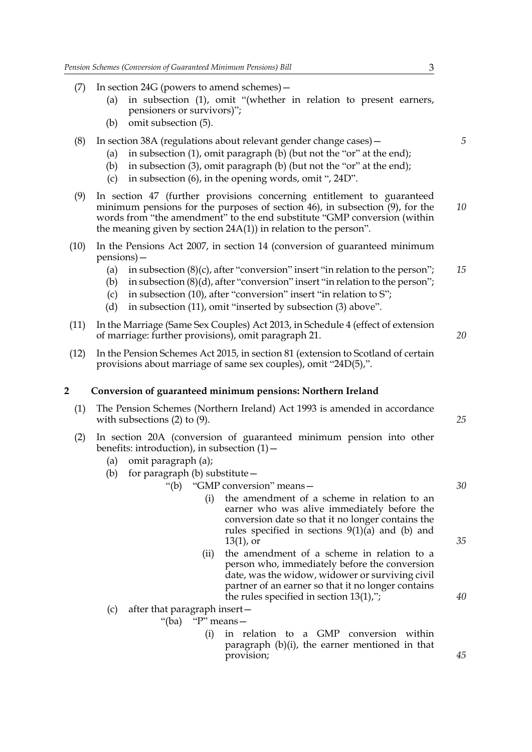- (7) In section 24G (powers to amend schemes)—
	- (a) in subsection (1), omit "(whether in relation to present earners, pensioners or survivors)";
	- (b) omit subsection (5).
- (8) In section 38A (regulations about relevant gender change cases)—
	- (a) in subsection (1), omit paragraph (b) (but not the "or" at the end);
	- (b) in subsection (3), omit paragraph (b) (but not the "or" at the end);
	- (c) in subsection (6), in the opening words, omit ", 24D".
- <span id="page-4-1"></span>(9) In section 47 (further provisions concerning entitlement to guaranteed minimum pensions for the purposes of section 46), in subsection (9), for the words from "the amendment" to the end substitute "GMP conversion (within the meaning given by section 24A(1)) in relation to the person". *10*
- (10) In the Pensions Act 2007, in section 14 (conversion of guaranteed minimum pensions)—
	- (a) in subsection  $(8)(c)$ , after "conversion" insert "in relation to the person"; *15*
	- (b) in subsection (8)(d), after "conversion" insert "in relation to the person";
	- (c) in subsection (10), after "conversion" insert "in relation to S";
	- (d) in subsection (11), omit "inserted by subsection (3) above".
- (11) In the Marriage (Same Sex Couples) Act 2013, in Schedule 4 (effect of extension of marriage: further provisions), omit paragraph 21.
- (12) In the Pension Schemes Act 2015, in section 81 (extension to Scotland of certain provisions about marriage of same sex couples), omit "24D(5),".

#### <span id="page-4-6"></span><span id="page-4-0"></span>**2 Conversion of guaranteed minimum pensions: Northern Ireland**

- (1) The Pension Schemes (Northern Ireland) Act 1993 is amended in accordance with subsections [\(2\)](#page-4-2) to [\(9\)](#page-6-1).
- <span id="page-4-5"></span><span id="page-4-4"></span><span id="page-4-3"></span><span id="page-4-2"></span>(2) In section 20A (conversion of guaranteed minimum pension into other benefits: introduction), in subsection  $(1)$  –
	- (a) omit paragraph (a);
	- (b) for paragraph (b) substitute—
		- "(b) "GMP conversion" means—
			- (i) the amendment of a scheme in relation to an earner who was alive immediately before the conversion date so that it no longer contains the rules specified in sections 9(1)(a) and (b) and 13(1), or
			- (ii) the amendment of a scheme in relation to a person who, immediately before the conversion date, was the widow, widower or surviving civil partner of an earner so that it no longer contains the rules specified in section 13(1),";
	- (c) after that paragraph insert—

"(ba) "P" means—

(i) in relation to a GMP conversion within paragraph [\(b\)](#page-4-3)[\(i\),](#page-4-4) the earner mentioned in that provision;

*5*

*20*

*25*

*30*

*35*

*40*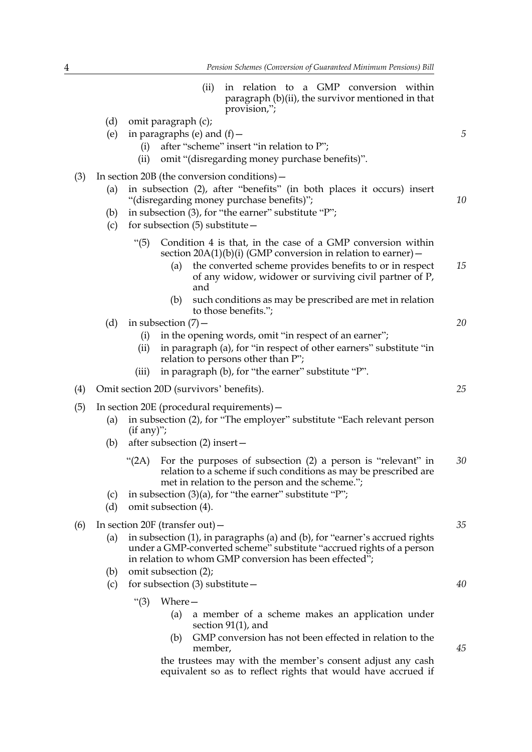- (ii) in relation to a GMP conversion within paragraph [\(b\)](#page-4-3)[\(ii\)](#page-4-5), the survivor mentioned in that provision,";
- (d) omit paragraph (c); (e) in paragraphs (e) and  $(f)$  -(i) after "scheme" insert "in relation to P"; (ii) omit "(disregarding money purchase benefits)". (3) In section 20B (the conversion conditions)— (a) in subsection (2), after "benefits" (in both places it occurs) insert "(disregarding money purchase benefits)"; (b) in subsection (3), for "the earner" substitute "P"; (c) for subsection  $(5)$  substitute  $-$ "(5) Condition 4 is that, in the case of a GMP conversion within section  $20A(1)(b)(i)$  $20A(1)(b)(i)$  $20A(1)(b)(i)$  (GMP conversion in relation to earner) – (a) the converted scheme provides benefits to or in respect of any widow, widower or surviving civil partner of P, and (b) such conditions as may be prescribed are met in relation to those benefits."; (d) in subsection  $(7)$  -(i) in the opening words, omit "in respect of an earner"; (ii) in paragraph (a), for "in respect of other earners" substitute "in relation to persons other than P"; (iii) in paragraph (b), for "the earner" substitute "P". (4) Omit section 20D (survivors' benefits). (5) In section 20E (procedural requirements)— (a) in subsection (2), for "The employer" substitute "Each relevant person  $(if any)$ "; (b) after subsection (2) insert— "(2A) For the purposes of subsection (2) a person is "relevant" in relation to a scheme if such conditions as may be prescribed are met in relation to the person and the scheme."; (c) in subsection  $(3)(a)$ , for "the earner" substitute "P"; (d) omit subsection (4). (6) In section 20F (transfer out)— (a) in subsection (1), in paragraphs (a) and (b), for "earner's accrued rights under a GMP-converted scheme" substitute "accrued rights of a person in relation to whom GMP conversion has been effected"; *5 10 15 20 25 30 35*
	- (b) omit subsection (2);
	- (c) for subsection (3) substitute  $-$ 
		- "(3) Where—
			- (a) a member of a scheme makes an application under section 91(1), and
			- (b) GMP conversion has not been effected in relation to the member,

the trustees may with the member's consent adjust any cash equivalent so as to reflect rights that would have accrued if

*40*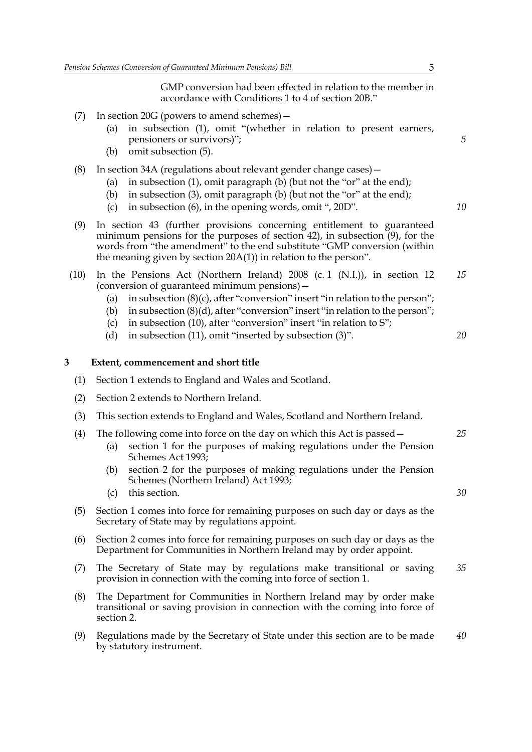GMP conversion had been effected in relation to the member in accordance with Conditions 1 to 4 of section 20B."

- (7) In section 20G (powers to amend schemes)—
	- (a) in subsection (1), omit "(whether in relation to present earners, pensioners or survivors)";
	- (b) omit subsection (5).
- (8) In section 34A (regulations about relevant gender change cases)—
	- (a) in subsection (1), omit paragraph (b) (but not the "or" at the end);
	- (b) in subsection (3), omit paragraph (b) (but not the "or" at the end);
	- (c) in subsection (6), in the opening words, omit ", 20D".
- <span id="page-6-1"></span>(9) In section 43 (further provisions concerning entitlement to guaranteed minimum pensions for the purposes of section 42), in subsection (9), for the words from "the amendment" to the end substitute "GMP conversion (within the meaning given by section 20A(1)) in relation to the person".
- (10) In the Pensions Act (Northern Ireland) 2008 (c. 1 (N.I.)), in section 12 (conversion of guaranteed minimum pensions)— *15*
	- (a) in subsection  $(8)(c)$ , after "conversion" insert "in relation to the person";
	- (b) in subsection  $(8)(d)$ , after "conversion" insert "in relation to the person";
	- (c) in subsection (10), after "conversion" insert "in relation to S";
	- (d) in subsection (11), omit "inserted by subsection (3)".

#### <span id="page-6-0"></span>**3 Extent, commencement and short title**

- (1) Section [1](#page-2-5) extends to England and Wales and Scotland.
- (2) Section [2](#page-4-6) extends to Northern Ireland.
- (3) This section extends to England and Wales, Scotland and Northern Ireland.
- (4) The following come into force on the day on which this Act is passed—
	- (a) section [1](#page-2-5) for the purposes of making regulations under the Pension Schemes Act 1993;
	- (b) section [2](#page-4-6) for the purposes of making regulations under the Pension Schemes (Northern Ireland) Act 1993;
	- (c) this section.
- (5) Section [1](#page-2-5) comes into force for remaining purposes on such day or days as the Secretary of State may by regulations appoint.
- <span id="page-6-2"></span>(6) Section [2](#page-4-6) comes into force for remaining purposes on such day or days as the Department for Communities in Northern Ireland may by order appoint.
- (7) The Secretary of State may by regulations make transitional or saving provision in connection with the coming into force of section [1.](#page-2-5) *35*
- <span id="page-6-3"></span>(8) The Department for Communities in Northern Ireland may by order make transitional or saving provision in connection with the coming into force of section [2](#page-4-6).
- (9) Regulations made by the Secretary of State under this section are to be made by statutory instrument. *40*

*5*

*10*

*20*

*25*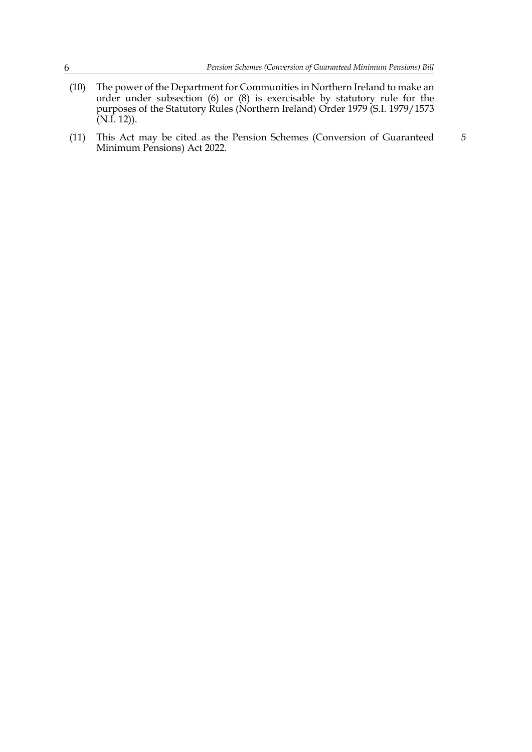- (10) The power of the Department for Communities in Northern Ireland to make an order under subsection [\(6\)](#page-6-2) or [\(8\)](#page-6-3) is exercisable by statutory rule for the purposes of the Statutory Rules (Northern Ireland) Order 1979 (S.I. 1979/1573 (N.I. 12)).
- (11) This Act may be cited as the Pension Schemes (Conversion of Guaranteed Minimum Pensions) Act 2022. *5*